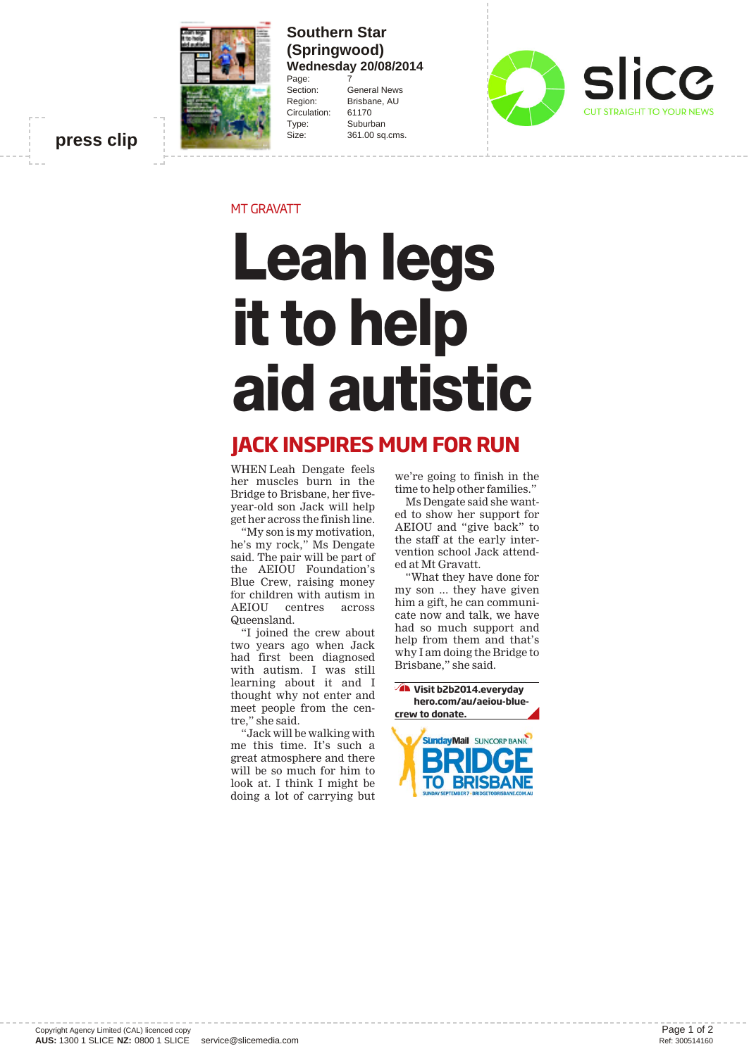

**Southern Star (Springwood) Wednesday 20/08/2014** Page:

Section: General News Region: Brisbane, AU<br>Circulation: 61170 Circulation: Type: Suburban Size: 361.00 sq.cms.



**press clip**

MT GRAVATT

## **Leah legs it to help aid autistic**

## **JACK INSPIRES MUM FOR RUN**

WHEN Leah Dengate feels her muscles burn in the Bridge to Brisbane, her fiveyear-old son Jack will help get her across the finish line.

"My son is my motivation, he's my rock," Ms Dengate said. The pair will be part of the AEIOU Foundation's Blue Crew, raising money for children with autism in<br>AEIOU centres across centres across Queensland.

"I joined the crew about two years ago when Jack had first been diagnosed with autism. I was still learning about it and I thought why not enter and meet people from the centre," she said.

"Jack will be walking with me this time. It's such a great atmosphere and there will be so much for him to look at. I think I might be doing a lot of carrying but

we're going to finish in the time to help other families."

Ms Dengate said she wanted to show her support for AEIOU and "give back" to the staff at the early intervention school Jack attended at Mt Gravatt.

"What they have done for my son ... they have given him a gift, he can communicate now and talk, we have had so much support and help from them and that's why I am doing the Bridge to Brisbane," she said.

**Visit b2b2014.everyday hero.com/au/aeiou-bluecrew to donate. SündavMail** SUNCORP BANK